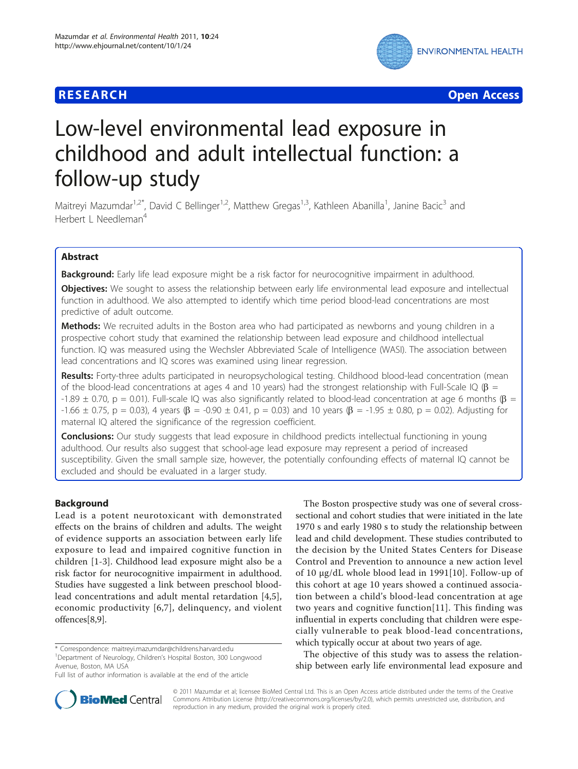# **RESEARCH CONSTRUCTION CONTROL**



# Low-level environmental lead exposure in childhood and adult intellectual function: a follow-up study

Maitreyi Mazumdar<sup>1,2\*</sup>, David C Bellinger<sup>1,2</sup>, Matthew Gregas<sup>1,3</sup>, Kathleen Abanilla<sup>1</sup>, Janine Bacic<sup>3</sup> and Herbert L Needleman<sup>4</sup>

# Abstract

**Background:** Early life lead exposure might be a risk factor for neurocognitive impairment in adulthood.

Objectives: We sought to assess the relationship between early life environmental lead exposure and intellectual function in adulthood. We also attempted to identify which time period blood-lead concentrations are most predictive of adult outcome.

Methods: We recruited adults in the Boston area who had participated as newborns and young children in a prospective cohort study that examined the relationship between lead exposure and childhood intellectual function. IQ was measured using the Wechsler Abbreviated Scale of Intelligence (WASI). The association between lead concentrations and IQ scores was examined using linear regression.

Results: Forty-three adults participated in neuropsychological testing. Childhood blood-lead concentration (mean of the blood-lead concentrations at ages 4 and 10 years) had the strongest relationship with Full-Scale IQ ( $\beta$  =  $-1.89 \pm 0.70$ , p = 0.01). Full-scale IQ was also significantly related to blood-lead concentration at age 6 months ( $\beta$  =  $-1.66 \pm 0.75$ , p = 0.03), 4 years ( $\beta$  =  $-0.90 \pm 0.41$ , p = 0.03) and 10 years ( $\beta$  =  $-1.95 \pm 0.80$ , p = 0.02). Adjusting for maternal IQ altered the significance of the regression coefficient.

**Conclusions:** Our study suggests that lead exposure in childhood predicts intellectual functioning in young adulthood. Our results also suggest that school-age lead exposure may represent a period of increased susceptibility. Given the small sample size, however, the potentially confounding effects of maternal IQ cannot be excluded and should be evaluated in a larger study.

# Background

Lead is a potent neurotoxicant with demonstrated effects on the brains of children and adults. The weight of evidence supports an association between early life exposure to lead and impaired cognitive function in children [\[1-3\]](#page-5-0). Childhood lead exposure might also be a risk factor for neurocognitive impairment in adulthood. Studies have suggested a link between preschool bloodlead concentrations and adult mental retardation [[4,5](#page-5-0)], economic productivity [\[6,7](#page-5-0)], delinquency, and violent offences[[8,9\]](#page-5-0).

\* Correspondence: [maitreyi.mazumdar@childrens.harvard.edu](mailto:maitreyi.mazumdar@childrens.harvard.edu)

<sup>1</sup>Department of Neurology, Children's Hospital Boston, 300 Longwood Avenue, Boston, MA USA

The Boston prospective study was one of several crosssectional and cohort studies that were initiated in the late 1970 s and early 1980 s to study the relationship between lead and child development. These studies contributed to the decision by the United States Centers for Disease Control and Prevention to announce a new action level of 10 μg/dL whole blood lead in 1991[\[10](#page-5-0)]. Follow-up of this cohort at age 10 years showed a continued association between a child's blood-lead concentration at age two years and cognitive function[[11\]](#page-5-0). This finding was influential in experts concluding that children were especially vulnerable to peak blood-lead concentrations, which typically occur at about two years of age.

The objective of this study was to assess the relationship between early life environmental lead exposure and



© 2011 Mazumdar et al; licensee BioMed Central Ltd. This is an Open Access article distributed under the terms of the Creative Commons Attribution License [\(http://creativecommons.org/licenses/by/2.0](http://creativecommons.org/licenses/by/2.0)), which permits unrestricted use, distribution, and reproduction in any medium, provided the original work is properly cited.

Full list of author information is available at the end of the article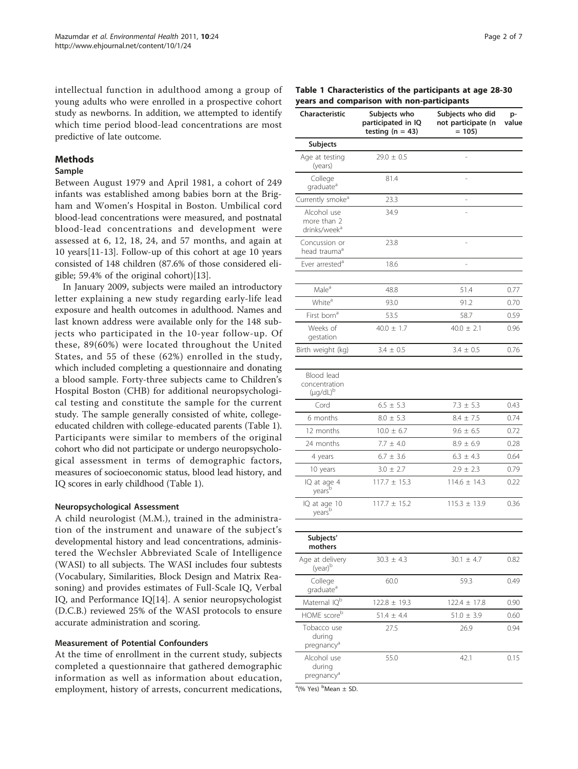<span id="page-1-0"></span>intellectual function in adulthood among a group of young adults who were enrolled in a prospective cohort study as newborns. In addition, we attempted to identify which time period blood-lead concentrations are most predictive of late outcome.

## Methods

#### Sample

Between August 1979 and April 1981, a cohort of 249 infants was established among babies born at the Brigham and Women's Hospital in Boston. Umbilical cord blood-lead concentrations were measured, and postnatal blood-lead concentrations and development were assessed at 6, 12, 18, 24, and 57 months, and again at 10 years[[11](#page-5-0)-[13\]](#page-5-0). Follow-up of this cohort at age 10 years consisted of 148 children (87.6% of those considered eligible; 59.4% of the original cohort)[\[13](#page-5-0)].

In January 2009, subjects were mailed an introductory letter explaining a new study regarding early-life lead exposure and health outcomes in adulthood. Names and last known address were available only for the 148 subjects who participated in the 10-year follow-up. Of these, 89(60%) were located throughout the United States, and 55 of these (62%) enrolled in the study, which included completing a questionnaire and donating a blood sample. Forty-three subjects came to Children's Hospital Boston (CHB) for additional neuropsychological testing and constitute the sample for the current study. The sample generally consisted of white, collegeeducated children with college-educated parents (Table 1). Participants were similar to members of the original cohort who did not participate or undergo neuropsychological assessment in terms of demographic factors, measures of socioeconomic status, blood lead history, and IQ scores in early childhood (Table 1).

#### Neuropsychological Assessment

A child neurologist (M.M.), trained in the administration of the instrument and unaware of the subject's developmental history and lead concentrations, administered the Wechsler Abbreviated Scale of Intelligence (WASI) to all subjects. The WASI includes four subtests (Vocabulary, Similarities, Block Design and Matrix Reasoning) and provides estimates of Full-Scale IQ, Verbal IQ, and Performance IQ[\[14](#page-5-0)]. A senior neuropsychologist (D.C.B.) reviewed 25% of the WASI protocols to ensure accurate administration and scoring.

#### Measurement of Potential Confounders

At the time of enrollment in the current study, subjects completed a questionnaire that gathered demographic information as well as information about education, employment, history of arrests, concurrent medications,

| Table 1 Characteristics of the participants at age 28-30 |  |  |
|----------------------------------------------------------|--|--|

| years and comparison with non-participants |  |  |  |
|--------------------------------------------|--|--|--|

| <b>Characteristic</b>                                  | Subjects who<br>participated in IQ<br>testing $(n = 43)$ | Subjects who did<br>not participate (n<br>$= 105$ | p-<br>value |  |
|--------------------------------------------------------|----------------------------------------------------------|---------------------------------------------------|-------------|--|
| Subjects                                               |                                                          |                                                   |             |  |
| Age at testing<br>(years)                              | $29.0 \pm 0.5$                                           |                                                   |             |  |
| College<br>graduate <sup>a</sup>                       | 81.4                                                     |                                                   |             |  |
| Currently smoke <sup>a</sup>                           | 23.3                                                     | -                                                 |             |  |
| Alcohol use<br>more than 2<br>drinks/week <sup>a</sup> | 34.9                                                     |                                                   |             |  |
| Concussion or<br>head trauma <sup>d</sup>              | 23.8                                                     |                                                   |             |  |
| Ever arrested <sup>a</sup>                             | 18.6                                                     |                                                   |             |  |
| Male <sup>a</sup>                                      | 48.8                                                     | 51.4                                              | 0.77        |  |
| White <sup>a</sup>                                     | 93.0                                                     | 91.2                                              | 0.70        |  |
| First born <sup>a</sup>                                | 53.5                                                     | 58.7                                              | 0.59        |  |
| Weeks of<br>gestation                                  | $40.0 \pm 1.7$                                           | $40.0 \pm 2.1$                                    | 0.96        |  |
| Birth weight (kg)                                      | $3.4 \pm 0.5$                                            | $3.4 \pm 0.5$                                     | 0.76        |  |
| Blood lead<br>concentration<br>$(\mu g/dL)^b$          |                                                          |                                                   |             |  |
| Cord                                                   | $6.5 \pm 5.3$                                            | $7.3 \pm 5.3$                                     | 0.43        |  |
| 6 months                                               | $8.0 \pm 5.3$                                            | $8.4 \pm 7.5$                                     | 0.74        |  |
| 12 months                                              | $10.0 \pm 6.7$                                           | $9.6 \pm 6.5$                                     | 0.72        |  |
| 24 months                                              | $7.7 \pm 4.0$                                            | $8.9 \pm 6.9$                                     | 0.28        |  |
| 4 years                                                | $6.7 \pm 3.6$                                            | $6.3 \pm 4.3$                                     | 0.64        |  |
| 10 years                                               | $3.0 \pm 2.7$                                            | $2.9 \pm 2.3$                                     | 0.79        |  |
| IQ at age 4<br>yearsb                                  | $117.7 \pm 15.3$                                         | $114.6 + 14.3$                                    | 0.22        |  |
| IQ at age 10<br>yearsb                                 | $117.7 \pm 15.2$                                         | $115.3 \pm 13.9$                                  | 0.36        |  |
| Subjects'<br>mothers                                   |                                                          |                                                   |             |  |
| Age at delivery<br>(year) <sup>b</sup>                 | $30.3 \pm 4.3$                                           | $30.1 \pm 4.7$                                    | 0.82        |  |
| College<br>graduate <sup>a</sup>                       | 60.0                                                     | 59.3                                              | 0.49        |  |
| Maternal IQ <sup>b</sup>                               | $122.8 \pm 19.3$                                         | $122.4 \pm 17.8$                                  | 0.90        |  |
| HOME score <sup>b</sup>                                | $51.4 \pm 4.4$                                           | $51.0 \pm 3.9$                                    | 0.60        |  |
| Tobacco use<br>during<br>pregnancy <sup>a</sup>        | 27.5                                                     | 26.9                                              | 0.94        |  |
| Alcohol use<br>during<br>pregnancy <sup>a</sup>        | 55.0                                                     | 42.1                                              | 0.15        |  |

<sup>a</sup>(% Yes) <sup>b</sup>Mean ± SD.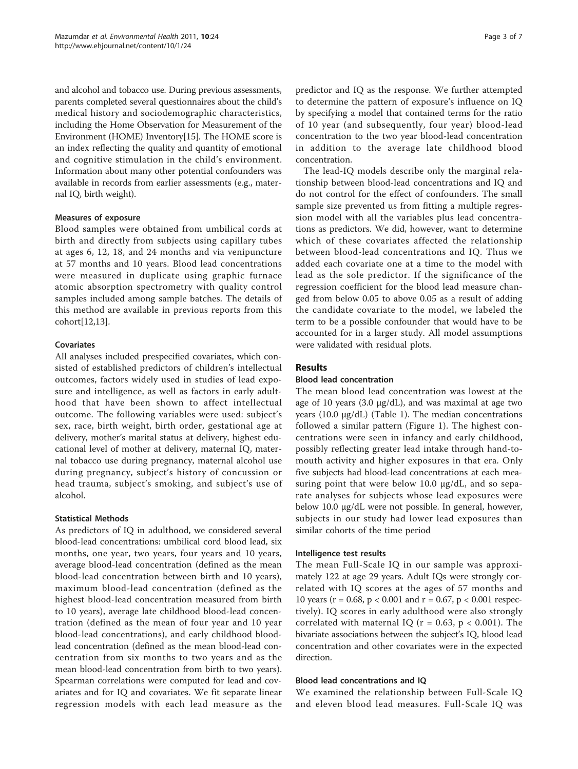and alcohol and tobacco use. During previous assessments, parents completed several questionnaires about the child's medical history and sociodemographic characteristics, including the Home Observation for Measurement of the Environment (HOME) Inventory[\[15\]](#page-5-0). The HOME score is an index reflecting the quality and quantity of emotional and cognitive stimulation in the child's environment. Information about many other potential confounders was available in records from earlier assessments (e.g., maternal IQ, birth weight).

# Measures of exposure

Blood samples were obtained from umbilical cords at birth and directly from subjects using capillary tubes at ages 6, 12, 18, and 24 months and via venipuncture at 57 months and 10 years. Blood lead concentrations were measured in duplicate using graphic furnace atomic absorption spectrometry with quality control samples included among sample batches. The details of this method are available in previous reports from this cohort[[12,13](#page-5-0)].

## Covariates

All analyses included prespecified covariates, which consisted of established predictors of children's intellectual outcomes, factors widely used in studies of lead exposure and intelligence, as well as factors in early adulthood that have been shown to affect intellectual outcome. The following variables were used: subject's sex, race, birth weight, birth order, gestational age at delivery, mother's marital status at delivery, highest educational level of mother at delivery, maternal IQ, maternal tobacco use during pregnancy, maternal alcohol use during pregnancy, subject's history of concussion or head trauma, subject's smoking, and subject's use of alcohol.

# Statistical Methods

As predictors of IQ in adulthood, we considered several blood-lead concentrations: umbilical cord blood lead, six months, one year, two years, four years and 10 years, average blood-lead concentration (defined as the mean blood-lead concentration between birth and 10 years), maximum blood-lead concentration (defined as the highest blood-lead concentration measured from birth to 10 years), average late childhood blood-lead concentration (defined as the mean of four year and 10 year blood-lead concentrations), and early childhood bloodlead concentration (defined as the mean blood-lead concentration from six months to two years and as the mean blood-lead concentration from birth to two years). Spearman correlations were computed for lead and covariates and for IQ and covariates. We fit separate linear regression models with each lead measure as the

predictor and IQ as the response. We further attempted to determine the pattern of exposure's influence on IQ by specifying a model that contained terms for the ratio of 10 year (and subsequently, four year) blood-lead concentration to the two year blood-lead concentration in addition to the average late childhood blood concentration.

The lead-IQ models describe only the marginal relationship between blood-lead concentrations and IQ and do not control for the effect of confounders. The small sample size prevented us from fitting a multiple regression model with all the variables plus lead concentrations as predictors. We did, however, want to determine which of these covariates affected the relationship between blood-lead concentrations and IQ. Thus we added each covariate one at a time to the model with lead as the sole predictor. If the significance of the regression coefficient for the blood lead measure changed from below 0.05 to above 0.05 as a result of adding the candidate covariate to the model, we labeled the term to be a possible confounder that would have to be accounted for in a larger study. All model assumptions were validated with residual plots.

# Results

#### Blood lead concentration

The mean blood lead concentration was lowest at the age of 10 years (3.0 μg/dL), and was maximal at age two years (10.0 μg/dL) (Table [1\)](#page-1-0). The median concentrations followed a similar pattern (Figure [1\)](#page-3-0). The highest concentrations were seen in infancy and early childhood, possibly reflecting greater lead intake through hand-tomouth activity and higher exposures in that era. Only five subjects had blood-lead concentrations at each measuring point that were below 10.0 μg/dL, and so separate analyses for subjects whose lead exposures were below 10.0 μg/dL were not possible. In general, however, subjects in our study had lower lead exposures than similar cohorts of the time period

#### Intelligence test results

The mean Full-Scale IQ in our sample was approximately 122 at age 29 years. Adult IQs were strongly correlated with IQ scores at the ages of 57 months and 10 years (r = 0.68, p < 0.001 and r = 0.67, p < 0.001 respectively). IQ scores in early adulthood were also strongly correlated with maternal IQ ( $r = 0.63$ ,  $p < 0.001$ ). The bivariate associations between the subject's IQ, blood lead concentration and other covariates were in the expected direction.

#### Blood lead concentrations and IQ

We examined the relationship between Full-Scale IQ and eleven blood lead measures. Full-Scale IQ was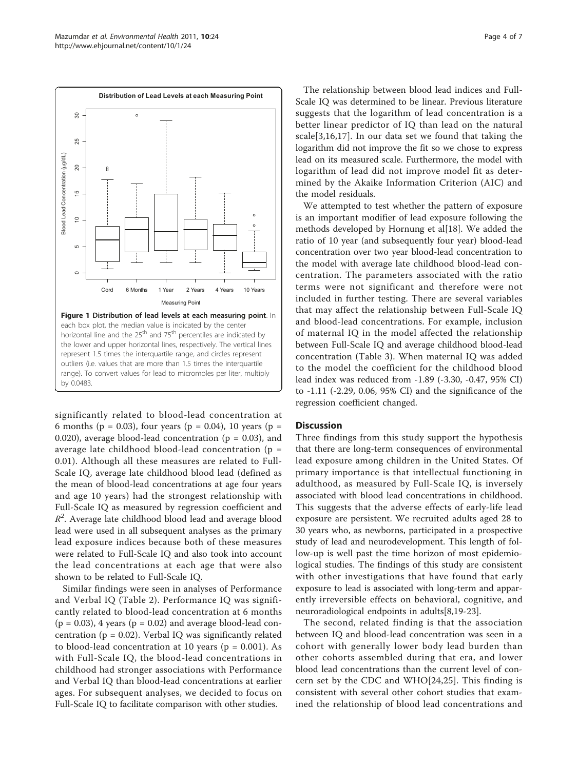<span id="page-3-0"></span>

significantly related to blood-lead concentration at 6 months ( $p = 0.03$ ), four years ( $p = 0.04$ ), 10 years ( $p = 0.04$ ) 0.020), average blood-lead concentration ( $p = 0.03$ ), and average late childhood blood-lead concentration (p = 0.01). Although all these measures are related to Full-Scale IQ, average late childhood blood lead (defined as the mean of blood-lead concentrations at age four years and age 10 years) had the strongest relationship with Full-Scale IQ as measured by regression coefficient and  $R^2$ . Average late childhood blood lead and average blood lead were used in all subsequent analyses as the primary lead exposure indices because both of these measures were related to Full-Scale IQ and also took into account the lead concentrations at each age that were also shown to be related to Full-Scale IQ.

Similar findings were seen in analyses of Performance and Verbal IQ (Table [2\)](#page-4-0). Performance IQ was significantly related to blood-lead concentration at 6 months  $(p = 0.03)$ , 4 years  $(p = 0.02)$  and average blood-lead concentration ( $p = 0.02$ ). Verbal IQ was significantly related to blood-lead concentration at 10 years ( $p = 0.001$ ). As with Full-Scale IQ, the blood-lead concentrations in childhood had stronger associations with Performance and Verbal IQ than blood-lead concentrations at earlier ages. For subsequent analyses, we decided to focus on Full-Scale IQ to facilitate comparison with other studies.

The relationship between blood lead indices and Full-Scale IQ was determined to be linear. Previous literature suggests that the logarithm of lead concentration is a better linear predictor of IQ than lead on the natural scale[[3,16,17\]](#page-5-0). In our data set we found that taking the logarithm did not improve the fit so we chose to express lead on its measured scale. Furthermore, the model with logarithm of lead did not improve model fit as determined by the Akaike Information Criterion (AIC) and the model residuals.

We attempted to test whether the pattern of exposure is an important modifier of lead exposure following the methods developed by Hornung et al[[18\]](#page-5-0). We added the ratio of 10 year (and subsequently four year) blood-lead concentration over two year blood-lead concentration to the model with average late childhood blood-lead concentration. The parameters associated with the ratio terms were not significant and therefore were not included in further testing. There are several variables that may affect the relationship between Full-Scale IQ and blood-lead concentrations. For example, inclusion of maternal IQ in the model affected the relationship between Full-Scale IQ and average childhood blood-lead concentration (Table [3\)](#page-4-0). When maternal IQ was added to the model the coefficient for the childhood blood lead index was reduced from -1.89 (-3.30, -0.47, 95% CI) to -1.11 (-2.29, 0.06, 95% CI) and the significance of the regression coefficient changed.

#### **Discussion**

Three findings from this study support the hypothesis that there are long-term consequences of environmental lead exposure among children in the United States. Of primary importance is that intellectual functioning in adulthood, as measured by Full-Scale IQ, is inversely associated with blood lead concentrations in childhood. This suggests that the adverse effects of early-life lead exposure are persistent. We recruited adults aged 28 to 30 years who, as newborns, participated in a prospective study of lead and neurodevelopment. This length of follow-up is well past the time horizon of most epidemiological studies. The findings of this study are consistent with other investigations that have found that early exposure to lead is associated with long-term and apparently irreversible effects on behavioral, cognitive, and neuroradiological endpoints in adults[[8,19](#page-5-0)[-23\]](#page-6-0).

The second, related finding is that the association between IQ and blood-lead concentration was seen in a cohort with generally lower body lead burden than other cohorts assembled during that era, and lower blood lead concentrations than the current level of concern set by the CDC and WHO[[24,25](#page-6-0)]. This finding is consistent with several other cohort studies that examined the relationship of blood lead concentrations and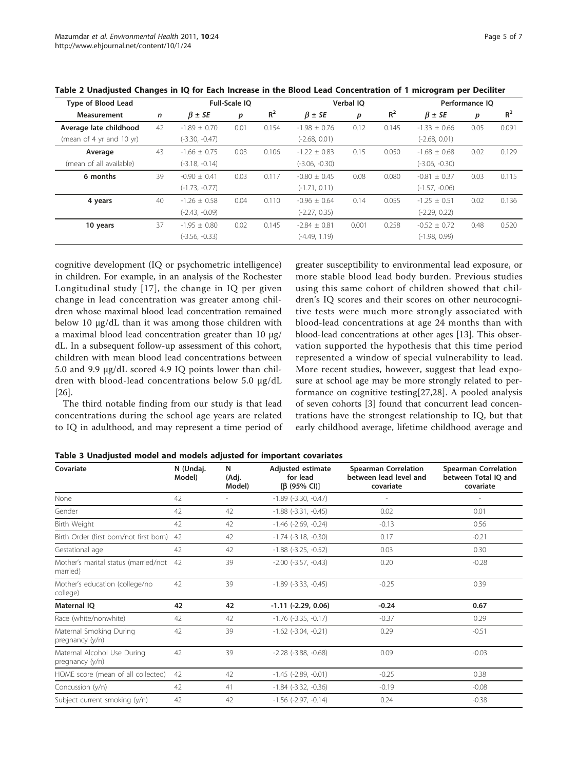| Type of Blood Lead       |              | <b>Full-Scale IO</b> |      | Verbal IO |                  |       | Performance IQ |                  |      |       |
|--------------------------|--------------|----------------------|------|-----------|------------------|-------|----------------|------------------|------|-------|
| <b>Measurement</b>       | $\mathsf{n}$ | $\beta \pm SE$       | p    | $R^2$     | $\beta \pm SE$   | p     | $R^2$          | $\beta \pm SE$   | p    | $R^2$ |
| Average late childhood   | 42           | $-1.89 + 0.70$       | 0.01 | 0.154     | $-1.98 \pm 0.76$ | 0.12  | 0.145          | $-1.33 + 0.66$   | 0.05 | 0.091 |
| (mean of 4 yr and 10 yr) |              | $(-3.30, -0.47)$     |      |           | $(-2.68, 0.01)$  |       |                | $(-2.68, 0.01)$  |      |       |
| Average                  | 43           | $-1.66 + 0.75$       | 0.03 | 0.106     | $-1.22 \pm 0.83$ | 0.15  | 0.050          | $-1.68 + 0.68$   | 0.02 | 0.129 |
| (mean of all available)  |              | $(-3.18, -0.14)$     |      |           | $(-3.06, -0.30)$ |       |                | $(-3.06, -0.30)$ |      |       |
| 6 months                 | 39           | $-0.90 + 0.41$       | 0.03 | 0.117     | $-0.80 + 0.45$   | 0.08  | 0.080          | $-0.81 \pm 0.37$ | 0.03 | 0.115 |
|                          |              | $(-1.73, -0.77)$     |      |           | $(-1.71, 0.11)$  |       |                | $(-1.57, -0.06)$ |      |       |
| 4 years                  | 40           | $-1.26 + 0.58$       | 0.04 | 0.110     | $-0.96 + 0.64$   | 0.14  | 0.055          | $-1.25 + 0.51$   | 0.02 | 0.136 |
|                          |              | $(-2.43, -0.09)$     |      |           | $(-2.27, 0.35)$  |       |                | $(-2.29, 0.22)$  |      |       |
| 10 years                 | 37           | $-1.95 + 0.80$       | 0.02 | 0.145     | $-2.84 \pm 0.81$ | 0.001 | 0.258          | $-0.52 \pm 0.72$ | 0.48 | 0.520 |
|                          |              | $(-3.56, -0.33)$     |      |           | $(-4.49, 1.19)$  |       |                | $(-1.98, 0.99)$  |      |       |

<span id="page-4-0"></span>Table 2 Unadjusted Changes in IQ for Each Increase in the Blood Lead Concentration of 1 microgram per Deciliter

cognitive development (IQ or psychometric intelligence) in children. For example, in an analysis of the Rochester Longitudinal study [[17\]](#page-5-0), the change in IQ per given change in lead concentration was greater among children whose maximal blood lead concentration remained below 10 μg/dL than it was among those children with a maximal blood lead concentration greater than 10 μg/ dL. In a subsequent follow-up assessment of this cohort, children with mean blood lead concentrations between 5.0 and 9.9 μg/dL scored 4.9 IQ points lower than children with blood-lead concentrations below 5.0 μg/dL [[26\]](#page-6-0).

The third notable finding from our study is that lead concentrations during the school age years are related to IQ in adulthood, and may represent a time period of

greater susceptibility to environmental lead exposure, or more stable blood lead body burden. Previous studies using this same cohort of children showed that children's IQ scores and their scores on other neurocognitive tests were much more strongly associated with blood-lead concentrations at age 24 months than with blood-lead concentrations at other ages [\[13](#page-5-0)]. This observation supported the hypothesis that this time period represented a window of special vulnerability to lead. More recent studies, however, suggest that lead exposure at school age may be more strongly related to performance on cognitive testing[[27,28\]](#page-6-0). A pooled analysis of seven cohorts [\[3](#page-5-0)] found that concurrent lead concentrations have the strongest relationship to IQ, but that early childhood average, lifetime childhood average and

| Covariate                                        | N (Undaj.<br>Model) | N<br>(Adj.<br>Model) | <b>Adjusted estimate</b><br>for lead<br>[β (95% CI)] | <b>Spearman Correlation</b><br>between lead level and<br>covariate | <b>Spearman Correlation</b><br>between Total IQ and<br>covariate |  |
|--------------------------------------------------|---------------------|----------------------|------------------------------------------------------|--------------------------------------------------------------------|------------------------------------------------------------------|--|
| None                                             | 42                  |                      | $-1.89$ $(-3.30, -0.47)$                             |                                                                    |                                                                  |  |
| Gender                                           | 42                  | 42                   | $-1.88$ $(-3.31, -0.45)$                             | 0.02                                                               | 0.01                                                             |  |
| Birth Weight                                     | 42                  | 42                   | $-1.46$ $(-2.69, -0.24)$                             | $-0.13$                                                            | 0.56                                                             |  |
| Birth Order (first born/not first born)          | 42                  | 42                   | $-1.74$ $(-3.18, -0.30)$                             | 0.17                                                               | $-0.21$                                                          |  |
| Gestational age                                  | 42                  | 42                   | $-1.88$ $(-3.25, -0.52)$                             | 0.03                                                               | 0.30                                                             |  |
| Mother's marital status (married/not<br>married) | 42                  | 39                   | $-2.00$ $(-3.57, -0.43)$                             | 0.20                                                               | $-0.28$                                                          |  |
| Mother's education (college/no<br>college)       | 42                  | 39                   | $-1.89$ $(-3.33, -0.45)$                             | $-0.25$                                                            | 0.39                                                             |  |
| Maternal IO                                      | 42                  | 42                   | $-1.11$ $(-2.29, 0.06)$                              | $-0.24$                                                            | 0.67                                                             |  |
| Race (white/nonwhite)                            | 42                  | 42                   | $-1.76$ $(-3.35, -0.17)$                             | $-0.37$                                                            | 0.29                                                             |  |
| Maternal Smoking During<br>pregnancy (y/n)       | 42                  | 39                   | $-1.62$ $(-3.04, -0.21)$                             | 0.29                                                               | $-0.51$                                                          |  |
| Maternal Alcohol Use During<br>pregnancy (y/n)   | 42                  | 39                   | $-2.28$ ( $-3.88$ , $-0.68$ )                        | 0.09                                                               | $-0.03$                                                          |  |
| HOME score (mean of all collected)               | 42                  | 42                   | $-1.45$ ( $-2.89$ , $-0.01$ )                        | $-0.25$                                                            | 0.38                                                             |  |
| Concussion (y/n)                                 | 42                  | 41                   | $-1.84$ $(-3.32, -0.36)$                             | $-0.19$                                                            | $-0.08$                                                          |  |
| Subject current smoking (y/n)                    | 42                  | 42                   | $-1.56$ $(-2.97, -0.14)$                             | 0.24                                                               | $-0.38$                                                          |  |

Table 3 Unadjusted model and models adjusted for important covariates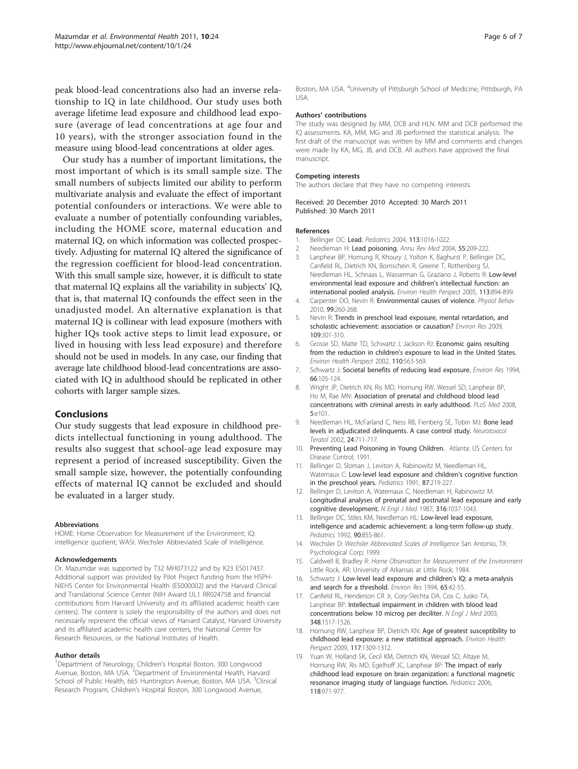<span id="page-5-0"></span>peak blood-lead concentrations also had an inverse relationship to IQ in late childhood. Our study uses both average lifetime lead exposure and childhood lead exposure (average of lead concentrations at age four and 10 years), with the stronger association found in the measure using blood-lead concentrations at older ages.

Our study has a number of important limitations, the most important of which is its small sample size. The small numbers of subjects limited our ability to perform multivariate analysis and evaluate the effect of important potential confounders or interactions. We were able to evaluate a number of potentially confounding variables, including the HOME score, maternal education and maternal IQ, on which information was collected prospectively. Adjusting for maternal IQ altered the significance of the regression coefficient for blood-lead concentration. With this small sample size, however, it is difficult to state that maternal IQ explains all the variability in subjects' IQ, that is, that maternal IQ confounds the effect seen in the unadjusted model. An alternative explanation is that maternal IQ is collinear with lead exposure (mothers with higher IQs took active steps to limit lead exposure, or lived in housing with less lead exposure) and therefore should not be used in models. In any case, our finding that average late childhood blood-lead concentrations are associated with IQ in adulthood should be replicated in other cohorts with larger sample sizes.

# Conclusions

Our study suggests that lead exposure in childhood predicts intellectual functioning in young adulthood. The results also suggest that school-age lead exposure may represent a period of increased susceptibility. Given the small sample size, however, the potentially confounding effects of maternal IQ cannot be excluded and should be evaluated in a larger study.

#### Abbreviations

HOME: Home Observation for Measurement of the Environment; IQ: intelligence quotient; WASI: Wechsler Abbreviated Scale of Intelligence.

#### Acknowledgements

Dr. Mazumdar was supported by T32 MH073122 and by K23 ES017437. Additional support was provided by Pilot Project funding from the HSPH-NIEHS Center for Environmental Health (ES000002) and the Harvard Clinical and Translational Science Center (NIH Award UL1 RR024758 and financial contributions from Harvard University and its affiliated academic health care centers). The content is solely the responsibility of the authors and does not necessarily represent the official views of Harvard Catalyst, Harvard University and its affiliated academic health care centers, the National Center for Research Resources, or the National Institutes of Health.

#### Author details

<sup>1</sup>Department of Neurology, Children's Hospital Boston, 300 Longwood Avenue, Boston, MA USA. <sup>2</sup> Department of Environmental Health, Harvard School of Public Health, 665 Huntington Avenue, Boston, MA USA. <sup>3</sup>Clinical Research Program, Children's Hospital Boston, 300 Longwood Avenue,

Boston, MA USA. <sup>4</sup>University of Pittsburgh School of Medicine, Pittsburgh, PA USA.

#### Authors' contributions

The study was designed by MM, DCB and HLN. MM and DCB performed the IQ assessments. KA, MM, MG and JB performed the statistical analysis. The first draft of the manuscript was written by MM and comments and changes were made by KA, MG, JB, and DCB. All authors have approved the final manuscript.

#### Competing interests

The authors declare that they have no competing interests.

#### Received: 20 December 2010 Accepted: 30 March 2011 Published: 30 March 2011

#### References

- 1. Bellinger DC: [Lead.](http://www.ncbi.nlm.nih.gov/pubmed/15060194?dopt=Abstract) Pediatrics 2004, 113:1016-1022.<br>2. Needleman H: Lead poisoning. Annu Rev Med 200
- 2. Needleman H: [Lead poisoning.](http://www.ncbi.nlm.nih.gov/pubmed/14746518?dopt=Abstract) Annu Rev Med 2004, 55:209-222.<br>3. Lannbear BP, Hornung B, Khoury J, Yolton K, Bagburst P, Bellinge
- Lanphear BP, Hornung R, Khoury J, Yolton K, Baghurst P, Bellinger DC, Canfield RL, Dietrich KN, Bornschein R, Greene T, Rothenberg SJ, Needleman HL, Schnaas L, Wasserman G, Graziano J, Roberts R: [Low-level](http://www.ncbi.nlm.nih.gov/pubmed/16002379?dopt=Abstract) [environmental lead exposure and children](http://www.ncbi.nlm.nih.gov/pubmed/16002379?dopt=Abstract)'s intellectual function: an [international pooled analysis.](http://www.ncbi.nlm.nih.gov/pubmed/16002379?dopt=Abstract) Environ Health Perspect 2005, 113:894-899.
- 4. Carpenter DO, Nevin R: [Environmental causes of violence.](http://www.ncbi.nlm.nih.gov/pubmed/19758571?dopt=Abstract) Physiol Behav 2010, 99:260-268.
- 5. Nevin R: [Trends in preschool lead exposure, mental retardation, and](http://www.ncbi.nlm.nih.gov/pubmed/19167707?dopt=Abstract) [scholastic achievement: association or causation?](http://www.ncbi.nlm.nih.gov/pubmed/19167707?dopt=Abstract) *Environ Res* 2009, 109:301-310.
- 6. Grosse SD, Matte TD, Schwartz J, Jackson RJ: [Economic gains resulting](http://www.ncbi.nlm.nih.gov/pubmed/12055046?dopt=Abstract) from the reduction in children'[s exposure to lead in the United States.](http://www.ncbi.nlm.nih.gov/pubmed/12055046?dopt=Abstract) Environ Health Perspect 2002, 110:563-569.
- 7. Schwartz J: [Societal benefits of reducing lead exposure.](http://www.ncbi.nlm.nih.gov/pubmed/8013434?dopt=Abstract) Environ Res 1994, 66:105-124.
- 8. Wright JP, Dietrich KN, Ris MD, Hornung RW, Wessel SD, Lanphear BP, Ho M, Rae MN: [Association of prenatal and childhood blood lead](http://www.ncbi.nlm.nih.gov/pubmed/18507497?dopt=Abstract) [concentrations with criminal arrests in early adulthood.](http://www.ncbi.nlm.nih.gov/pubmed/18507497?dopt=Abstract) PLoS Med 2008, 5:e101.
- 9. Needleman HL, McFarland C, Ness RB, Fienberg SE, Tobin MJ: [Bone lead](http://www.ncbi.nlm.nih.gov/pubmed/12460653?dopt=Abstract) [levels in adjudicated delinquents. A case control study.](http://www.ncbi.nlm.nih.gov/pubmed/12460653?dopt=Abstract) Neurotoxicol Teratol 2002, 24:711-717.
- 10. Preventing Lead Poisoning in Young Children. Atlanta: US Centers for Disease Control; 1991.
- 11. Bellinger D, Sloman J, Leviton A, Rabinowitz M, Needleman HL, Waternaux C: [Low-level lead exposure and children](http://www.ncbi.nlm.nih.gov/pubmed/1987535?dopt=Abstract)'s cognitive function [in the preschool years.](http://www.ncbi.nlm.nih.gov/pubmed/1987535?dopt=Abstract) Pediatrics 1991, 87:219-227.
- 12. Bellinger D, Leviton A, Waternaux C, Needleman H, Rabinowitz M: [Longitudinal analyses of prenatal and postnatal lead exposure and early](http://www.ncbi.nlm.nih.gov/pubmed/3561456?dopt=Abstract) [cognitive development.](http://www.ncbi.nlm.nih.gov/pubmed/3561456?dopt=Abstract) N Engl J Med 1987, 316:1037-1043.
- Bellinger DC, Stiles KM, Needleman HL: [Low-level lead exposure,](http://www.ncbi.nlm.nih.gov/pubmed/1437425?dopt=Abstract) [intelligence and academic achievement: a long-term follow-up study.](http://www.ncbi.nlm.nih.gov/pubmed/1437425?dopt=Abstract) Pediatrics 1992, 90:855-861.
- 14. Wechsler D: Wechsler Abbreviated Scales of Intelligence San Antonio, TX: Psychological Corp; 1999.
- 15. Caldwell B, Bradley R: Home Observation for Measurement of the Environment Little Rock, AR: University of Arkansas at Little Rock; 1984.
- 16. Schwartz J: [Low-level lead exposure and children](http://www.ncbi.nlm.nih.gov/pubmed/8162884?dopt=Abstract)'s IQ: a meta-analysis [and search for a threshold.](http://www.ncbi.nlm.nih.gov/pubmed/8162884?dopt=Abstract) Environ Res 1994, 65:42-55.
- 17. Canfield RL, Henderson CR Jr, Cory-Slechta DA, Cox C, Jusko TA, Lanphear BP: [Intellectual impairment in children with blood lead](http://www.ncbi.nlm.nih.gov/pubmed/12700371?dopt=Abstract) [concentrations below 10 microg per deciliter.](http://www.ncbi.nlm.nih.gov/pubmed/12700371?dopt=Abstract) N Engl J Med 2003, 348:1517-1526.
- 18. Hornung RW, Lanphear BP, Dietrich KN: [Age of greatest susceptibility to](http://www.ncbi.nlm.nih.gov/pubmed/19672413?dopt=Abstract) [childhood lead exposure: a new statistical approach.](http://www.ncbi.nlm.nih.gov/pubmed/19672413?dopt=Abstract) Environ Health Perspect 2009, 117:1309-1312.
- 19. Yuan W, Holland SK, Cecil KM, Dietrich KN, Wessel SD, Altaye M, Hornung RW, Ris MD, Egelhoff JC, Lanphear BP: [The impact of early](http://www.ncbi.nlm.nih.gov/pubmed/16950987?dopt=Abstract) [childhood lead exposure on brain organization: a functional magnetic](http://www.ncbi.nlm.nih.gov/pubmed/16950987?dopt=Abstract) [resonance imaging study of language function.](http://www.ncbi.nlm.nih.gov/pubmed/16950987?dopt=Abstract) Pediatrics 2006, 118:971-977.